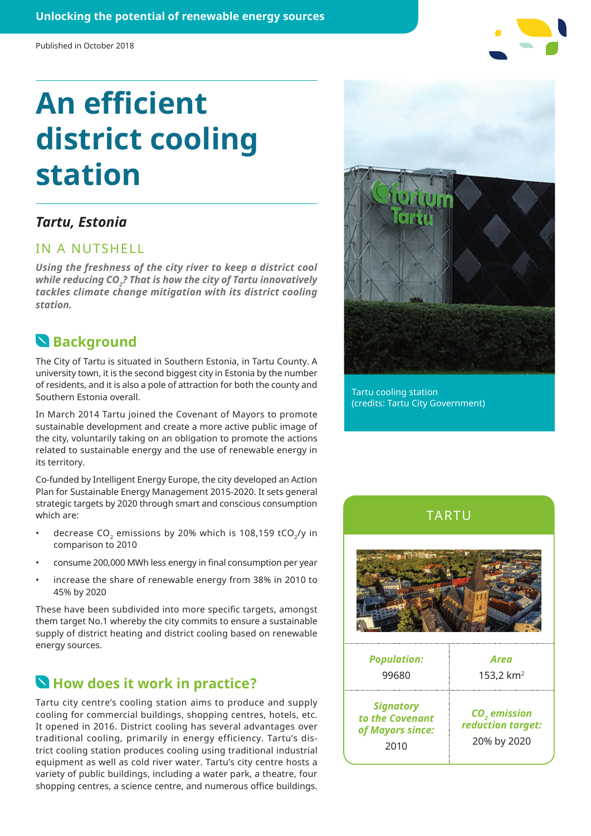# **An efficient district cooling station**

#### *Tartu, Estonia*

#### IN A NUTSHELL

*Using the freshness of the city river to keep a district cool*  while reducing CO<sub>2</sub>? That is how the city of Tartu innovatively *tackles climate change mitigation with its district cooling station.*

### **Background**

The City of Tartu is situated in Southern Estonia, in Tartu County. A university town, it is the second biggest city in Estonia by the number of residents, and it is also a pole of attraction for both the county and Southern Estonia overall.

In March 2014 Tartu joined the Covenant of Mayors to promote sustainable development and create a more active public image of the city, voluntarily taking on an obligation to promote the actions related to sustainable energy and the use of renewable energy in its territory.

Co-funded by Intelligent Energy Europe, the city developed an Action Plan for Sustainable Energy Management 2015-2020. It sets general strategic targets by 2020 through smart and conscious consumption which are:

- decrease CO<sub>2</sub> emissions by 20% which is 108,159 tCO<sub>2</sub>/y in comparison to 2010
- consume 200,000 MWh less energy in final consumption per year
- increase the share of renewable energy from 38% in 2010 to 45% by 2020

These have been subdivided into more specific targets, amongst them target No.1 whereby the city commits to ensure a sustainable supply of district heating and district cooling based on renewable energy sources.

#### **How does it work in practice?**

Tartu city centre's cooling station aims to produce and supply cooling for commercial buildings, shopping centres, hotels, etc. It opened in 2016. District cooling has several advantages over traditional cooling, primarily in energy efficiency. Tartu's district cooling station produces cooling using traditional industrial equipment as well as cold river water. Tartu's city centre hosts a variety of public buildings, including a water park, a theatre, four shopping centres, a science centre, and numerous office buildings.



Tartu cooling station (credits: Tartu City Government)





| <b>Population:</b><br>99680                                     | Area<br>153,2 $km2$                                          |
|-----------------------------------------------------------------|--------------------------------------------------------------|
| <b>Signatory</b><br>to the Covenant<br>of Mayors since:<br>2010 | CO <sub>2</sub> emission<br>reduction target:<br>20% by 2020 |
|                                                                 |                                                              |